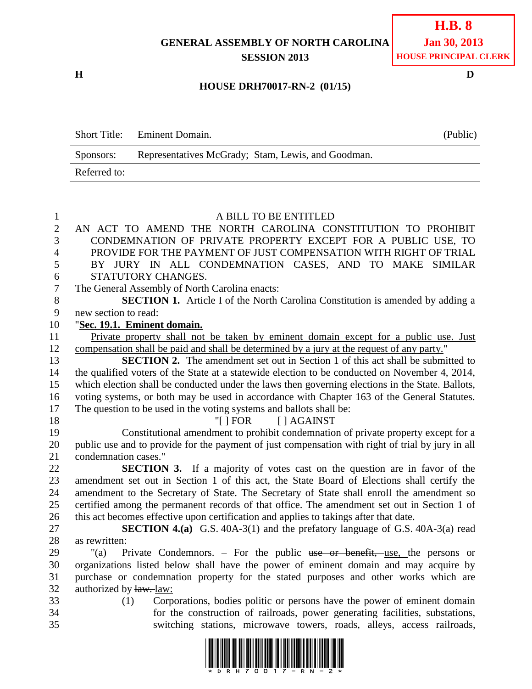## **GENERAL ASSEMBLY OF NORTH CAROLINA SESSION 2013**

**H D**

## **HOUSE DRH70017-RN-2 (01/15)**

|              | <b>Short Title:</b> Eminent Domain.                | (Public) |
|--------------|----------------------------------------------------|----------|
| Sponsors:    | Representatives McGrady; Stam, Lewis, and Goodman. |          |
| Referred to: |                                                    |          |

## A BILL TO BE ENTITLED AN ACT TO AMEND THE NORTH CAROLINA CONSTITUTION TO PROHIBIT CONDEMNATION OF PRIVATE PROPERTY EXCEPT FOR A PUBLIC USE, TO PROVIDE FOR THE PAYMENT OF JUST COMPENSATION WITH RIGHT OF TRIAL BY JURY IN ALL CONDEMNATION CASES, AND TO MAKE SIMILAR STATUTORY CHANGES. The General Assembly of North Carolina enacts: **SECTION 1.** Article I of the North Carolina Constitution is amended by adding a new section to read: "**Sec. 19.1. Eminent domain.** Private property shall not be taken by eminent domain except for a public use. Just compensation shall be paid and shall be determined by a jury at the request of any party." **SECTION 2.** The amendment set out in Section 1 of this act shall be submitted to the qualified voters of the State at a statewide election to be conducted on November 4, 2014, which election shall be conducted under the laws then governing elections in the State. Ballots, voting systems, or both may be used in accordance with Chapter 163 of the General Statutes. The question to be used in the voting systems and ballots shall be: 18 "[ ] FOR [ ] AGAINST Constitutional amendment to prohibit condemnation of private property except for a public use and to provide for the payment of just compensation with right of trial by jury in all condemnation cases." **SECTION 3.** If a majority of votes cast on the question are in favor of the amendment set out in Section 1 of this act, the State Board of Elections shall certify the amendment to the Secretary of State. The Secretary of State shall enroll the amendment so certified among the permanent records of that office. The amendment set out in Section 1 of this act becomes effective upon certification and applies to takings after that date. **SECTION 4.(a)** G.S. 40A-3(1) and the prefatory language of G.S. 40A-3(a) read as rewritten: "(a) Private Condemnors. – For the public use or benefit, use, the persons or organizations listed below shall have the power of eminent domain and may acquire by purchase or condemnation property for the stated purposes and other works which are authorized by law. law: (1) Corporations, bodies politic or persons have the power of eminent domain for the construction of railroads, power generating facilities, substations, switching stations, microwave towers, roads, alleys, access railroads,